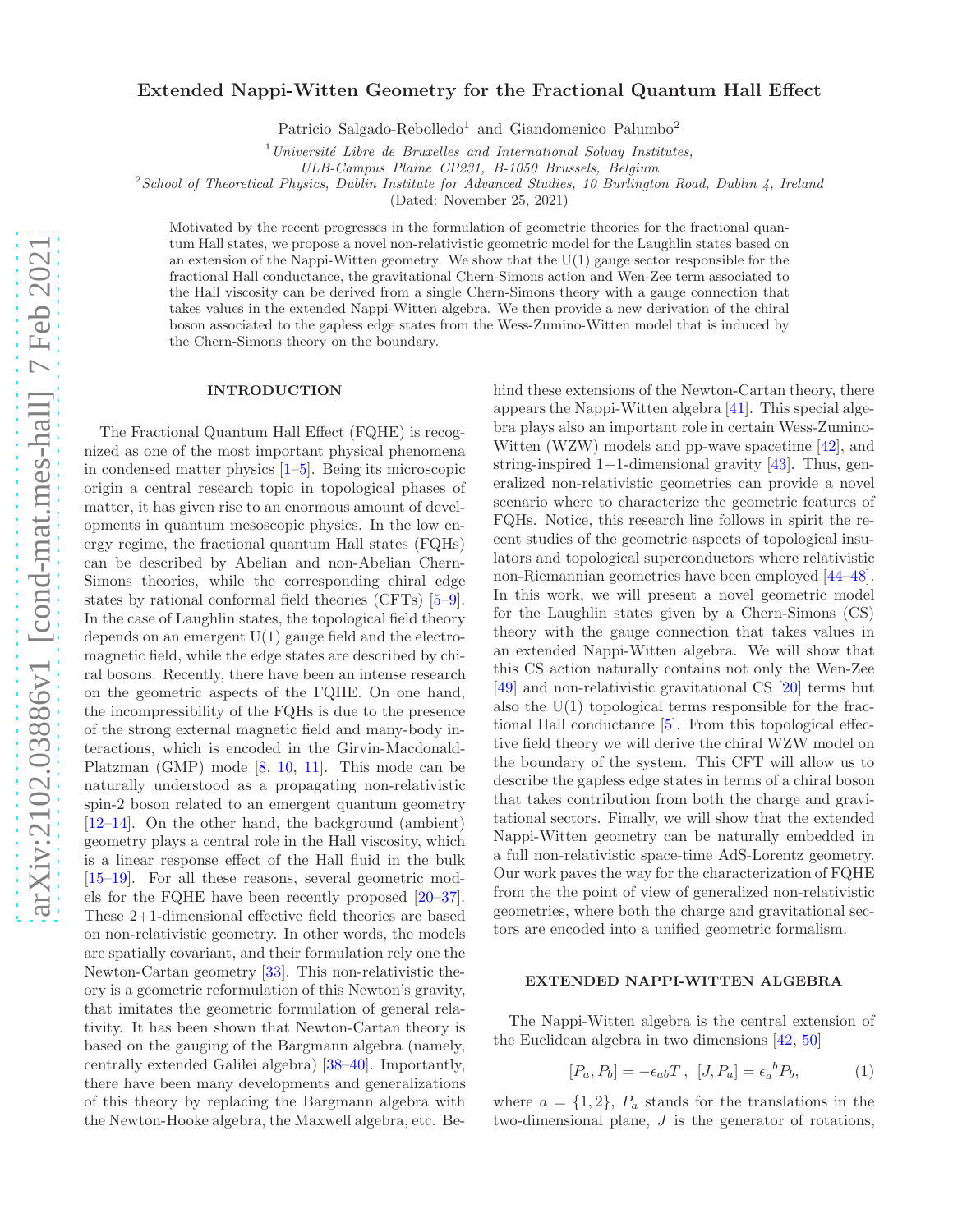# Extended Nappi-Witten Geometry for the Fractional Quantum Hall Effect

Patricio Salgado-Rebolledo<sup>1</sup> and Giandomenico Palumbo<sup>2</sup>

 $1$ Université Libre de Bruxelles and International Solvay Institutes,

ULB-Campus Plaine CP231, B-1050 Brussels, Belgium

 $2$ School of Theoretical Physics, Dublin Institute for Advanced Studies, 10 Burlington Road, Dublin 4, Ireland

(Dated: November 25, 2021)

Motivated by the recent progresses in the formulation of geometric theories for the fractional quantum Hall states, we propose a novel non-relativistic geometric model for the Laughlin states based on an extension of the Nappi-Witten geometry. We show that the U(1) gauge sector responsible for the fractional Hall conductance, the gravitational Chern-Simons action and Wen-Zee term associated to the Hall viscosity can be derived from a single Chern-Simons theory with a gauge connection that takes values in the extended Nappi-Witten algebra. We then provide a new derivation of the chiral boson associated to the gapless edge states from the Wess-Zumino-Witten model that is induced by the Chern-Simons theory on the boundary.

#### INTRODUCTION

The Fractional Quantum Hall Effect (FQHE) is recognized as one of the most important physical phenomena in condensed matter physics [\[1](#page-5-0)[–5](#page-5-1)]. Being its microscopic origin a central research topic in topological phases of matter, it has given rise to an enormous amount of developments in quantum mesoscopic physics. In the low energy regime, the fractional quantum Hall states (FQHs) can be described by Abelian and non-Abelian Chern-Simons theories, while the corresponding chiral edge states by rational conformal field theories (CFTs) [\[5](#page-5-1)[–9\]](#page-5-2). In the case of Laughlin states, the topological field theory depends on an emergent  $U(1)$  gauge field and the electromagnetic field, while the edge states are described by chiral bosons. Recently, there have been an intense research on the geometric aspects of the FQHE. On one hand, the incompressibility of the FQHs is due to the presence of the strong external magnetic field and many-body interactions, which is encoded in the Girvin-Macdonald-Platzman (GMP) mode [\[8](#page-5-3), [10](#page-5-4), [11](#page-5-5)]. This mode can be naturally understood as a propagating non-relativistic spin-2 boson related to an emergent quantum geometry [\[12](#page-5-6)[–14\]](#page-5-7). On the other hand, the background (ambient) geometry plays a central role in the Hall viscosity, which is a linear response effect of the Hall fluid in the bulk [\[15](#page-5-8)[–19\]](#page-5-9). For all these reasons, several geometric models for the FQHE have been recently proposed [\[20](#page-5-10)[–37\]](#page-5-11). These 2+1-dimensional effective field theories are based on non-relativistic geometry. In other words, the models are spatially covariant, and their formulation rely one the Newton-Cartan geometry [\[33\]](#page-5-12). This non-relativistic theory is a geometric reformulation of this Newton's gravity, that imitates the geometric formulation of general relativity. It has been shown that Newton-Cartan theory is based on the gauging of the Bargmann algebra (namely, centrally extended Galilei algebra) [\[38](#page-5-13)[–40\]](#page-5-14). Importantly, there have been many developments and generalizations of this theory by replacing the Bargmann algebra with the Newton-Hooke algebra, the Maxwell algebra, etc. Behind these extensions of the Newton-Cartan theory, there appears the Nappi-Witten algebra [\[41\]](#page-5-15). This special algebra plays also an important role in certain Wess-Zumino-Witten (WZW) models and pp-wave spacetime [\[42](#page-5-16)], and string-inspired  $1+1$ -dimensional gravity [\[43\]](#page-5-17). Thus, generalized non-relativistic geometries can provide a novel scenario where to characterize the geometric features of FQHs. Notice, this research line follows in spirit the recent studies of the geometric aspects of topological insulators and topological superconductors where relativistic non-Riemannian geometries have been employed [\[44](#page-5-18)[–48\]](#page-5-19). In this work, we will present a novel geometric model for the Laughlin states given by a Chern-Simons (CS) theory with the gauge connection that takes values in an extended Nappi-Witten algebra. We will show that this CS action naturally contains not only the Wen-Zee [\[49\]](#page-5-20) and non-relativistic gravitational CS [\[20\]](#page-5-10) terms but also the  $U(1)$  topological terms responsible for the fractional Hall conductance [\[5](#page-5-1)]. From this topological effective field theory we will derive the chiral WZW model on the boundary of the system. This CFT will allow us to describe the gapless edge states in terms of a chiral boson that takes contribution from both the charge and gravitational sectors. Finally, we will show that the extended Nappi-Witten geometry can be naturally embedded in a full non-relativistic space-time AdS-Lorentz geometry. Our work paves the way for the characterization of FQHE from the the point of view of generalized non-relativistic geometries, where both the charge and gravitational sectors are encoded into a unified geometric formalism.

## EXTENDED NAPPI-WITTEN ALGEBRA

The Nappi-Witten algebra is the central extension of the Euclidean algebra in two dimensions [\[42](#page-5-16), [50](#page-5-21)]

<span id="page-0-0"></span>
$$
[P_a, P_b] = -\epsilon_{ab}T, [J, P_a] = \epsilon_a{}^b P_b,\tag{1}
$$

where  $a = \{1, 2\}$ ,  $P_a$  stands for the translations in the two-dimensional plane, J is the generator of rotations,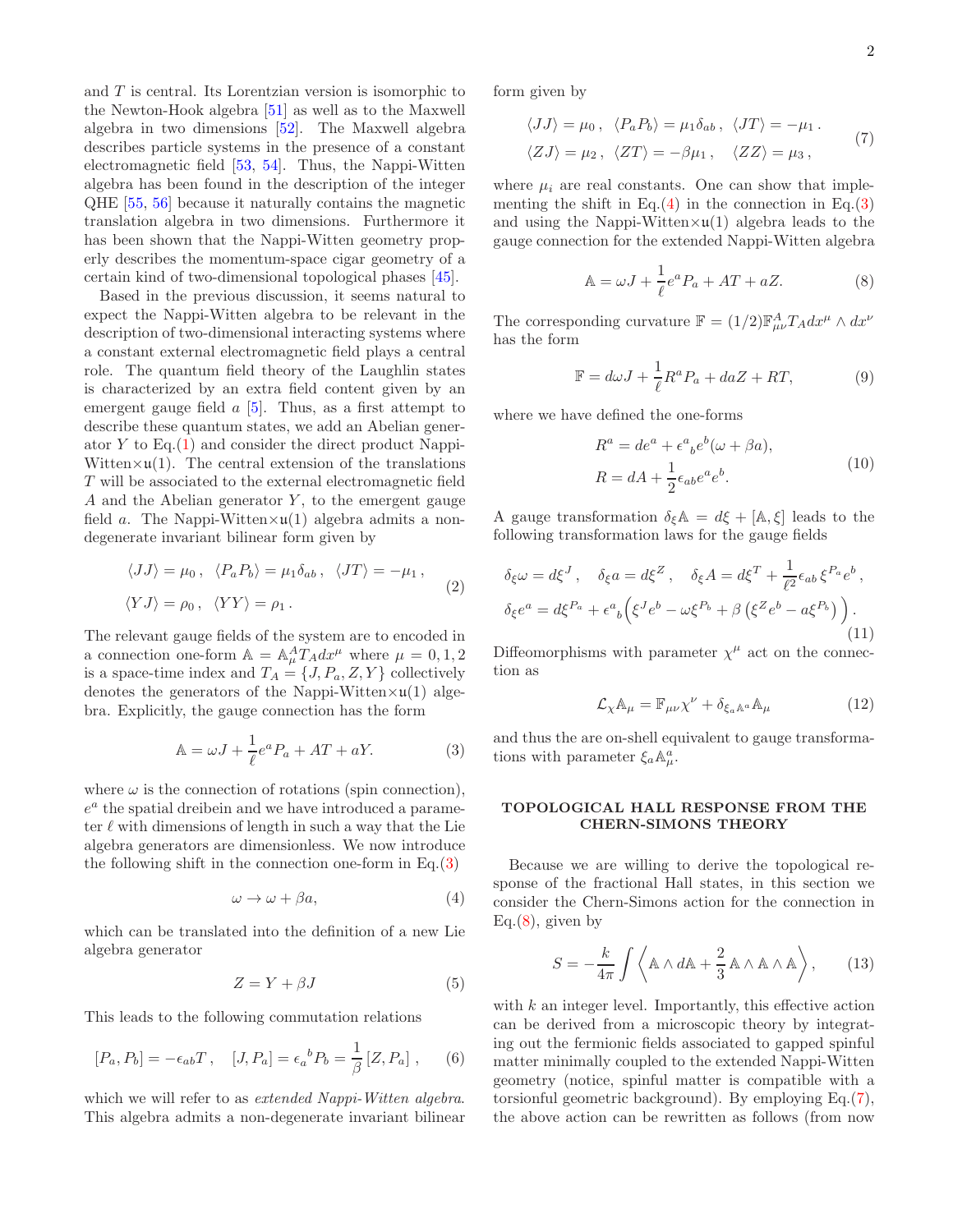and  $T$  is central. Its Lorentzian version is isomorphic to the Newton-Hook algebra [\[51](#page-5-22)] as well as to the Maxwell algebra in two dimensions [\[52\]](#page-5-23). The Maxwell algebra describes particle systems in the presence of a constant electromagnetic field [\[53,](#page-5-24) [54\]](#page-5-25). Thus, the Nappi-Witten algebra has been found in the description of the integer QHE [\[55](#page-5-26), [56](#page-5-27)] because it naturally contains the magnetic translation algebra in two dimensions. Furthermore it has been shown that the Nappi-Witten geometry properly describes the momentum-space cigar geometry of a certain kind of two-dimensional topological phases [\[45\]](#page-5-28).

Based in the previous discussion, it seems natural to expect the Nappi-Witten algebra to be relevant in the description of two-dimensional interacting systems where a constant external electromagnetic field plays a central role. The quantum field theory of the Laughlin states is characterized by an extra field content given by an emergent gauge field  $a$  [\[5](#page-5-1)]. Thus, as a first attempt to describe these quantum states, we add an Abelian generator  $Y$  to Eq. $(1)$  and consider the direct product Nappi-Witten $\times$ **u**(1). The central extension of the translations T will be associated to the external electromagnetic field A and the Abelian generator  $Y$ , to the emergent gauge field a. The Nappi-Witten $\times$ **u**(1) algebra admits a nondegenerate invariant bilinear form given by

$$
\langle JJ \rangle = \mu_0, \quad \langle P_a P_b \rangle = \mu_1 \delta_{ab}, \quad \langle JT \rangle = -\mu_1,
$$
  

$$
\langle YJ \rangle = \rho_0, \quad \langle YY \rangle = \rho_1.
$$
 (2)

The relevant gauge fields of the system are to encoded in a connection one-form  $\mathbb{A} = \mathbb{A}_{\mu}^{A} T_{A} dx^{\mu}$  where  $\mu = 0, 1, 2$ is a space-time index and  $T_A = \{J, P_a, Z, Y\}$  collectively denotes the generators of the Nappi-Witten $\times$ u(1) algebra. Explicitly, the gauge connection has the form

$$
\mathbb{A} = \omega J + \frac{1}{\ell} e^a P_a + AT + aY. \tag{3}
$$

where  $\omega$  is the connection of rotations (spin connection),  $e^a$  the spatial dreibein and we have introduced a parameter  $\ell$  with dimensions of length in such a way that the Lie algebra generators are dimensionless. We now introduce the following shift in the connection one-form in  $Eq.(3)$  $Eq.(3)$ 

$$
\omega \to \omega + \beta a,\tag{4}
$$

which can be translated into the definition of a new Lie algebra generator

$$
Z = Y + \beta J \tag{5}
$$

This leads to the following commutation relations

$$
[P_a, P_b] = -\epsilon_{ab} T \,, \quad [J, P_a] = \epsilon_a{}^b P_b = \frac{1}{\beta} [Z, P_a] \,, \tag{6}
$$

which we will refer to as *extended Nappi-Witten algebra*. This algebra admits a non-degenerate invariant bilinear form given by

<span id="page-1-3"></span>
$$
\langle JJ \rangle = \mu_0, \quad \langle P_a P_b \rangle = \mu_1 \delta_{ab}, \quad \langle JT \rangle = -\mu_1.
$$
  

$$
\langle ZJ \rangle = \mu_2, \quad \langle ZT \rangle = -\beta \mu_1, \quad \langle ZZ \rangle = \mu_3,
$$
 (7)

where  $\mu_i$  are real constants. One can show that implementing the shift in Eq. $(4)$  in the connection in Eq. $(3)$ and using the Nappi-Witten $\times$ **u**(1) algebra leads to the gauge connection for the extended Nappi-Witten algebra

<span id="page-1-2"></span>
$$
\mathbb{A} = \omega J + \frac{1}{\ell} e^a P_a + AT + aZ. \tag{8}
$$

The corresponding curvature  $\mathbb{F} = (1/2)\mathbb{F}_{\mu\nu}^A T_A dx^{\mu} \wedge dx^{\nu}$ has the form

$$
\mathbb{F} = d\omega J + \frac{1}{\ell} R^a P_a + daZ + RT,
$$
\n(9)

where we have defined the one-forms

$$
R^{a} = de^{a} + \epsilon^{a}{}_{b}e^{b}(\omega + \beta a),
$$
  
\n
$$
R = dA + \frac{1}{2}\epsilon_{ab}e^{a}e^{b}.
$$
\n(10)

A gauge transformation  $\delta_{\xi}A = d\xi + [A, \xi]$  leads to the following transformation laws for the gauge fields

$$
\delta_{\xi}\omega = d\xi^{J}, \quad \delta_{\xi}a = d\xi^{Z}, \quad \delta_{\xi}A = d\xi^{T} + \frac{1}{\ell^{2}}\epsilon_{ab}\,\xi^{P_{a}}e^{b},
$$
  

$$
\delta_{\xi}e^{a} = d\xi^{P_{a}} + \epsilon^{a}{}_{b}\Big(\xi^{J}e^{b} - \omega\xi^{P_{b}} + \beta\left(\xi^{Z}e^{b} - a\xi^{P_{b}}\right)\Big).
$$
  
(11)

Diffeomorphisms with parameter  $\chi^{\mu}$  act on the connection as

$$
\mathcal{L}_{\chi}\mathbb{A}_{\mu} = \mathbb{F}_{\mu\nu}\chi^{\nu} + \delta_{\xi_a\mathbb{A}^a}\mathbb{A}_{\mu}
$$
 (12)

<span id="page-1-0"></span>and thus the are on-shell equivalent to gauge transformations with parameter  $\xi_a \mathbb{A}^a_\mu$ .

#### TOPOLOGICAL HALL RESPONSE FROM THE CHERN-SIMONS THEORY

<span id="page-1-1"></span>Because we are willing to derive the topological response of the fractional Hall states, in this section we consider the Chern-Simons action for the connection in  $Eq.(8)$  $Eq.(8)$ , given by

<span id="page-1-4"></span>
$$
S = -\frac{k}{4\pi} \int \left\langle \mathbb{A} \wedge d\mathbb{A} + \frac{2}{3} \mathbb{A} \wedge \mathbb{A} \wedge \mathbb{A} \right\rangle, \qquad (13)
$$

<span id="page-1-5"></span>with  $k$  an integer level. Importantly, this effective action can be derived from a microscopic theory by integrating out the fermionic fields associated to gapped spinful matter minimally coupled to the extended Nappi-Witten geometry (notice, spinful matter is compatible with a torsionful geometric background). By employing Eq.[\(7\)](#page-1-3), the above action can be rewritten as follows (from now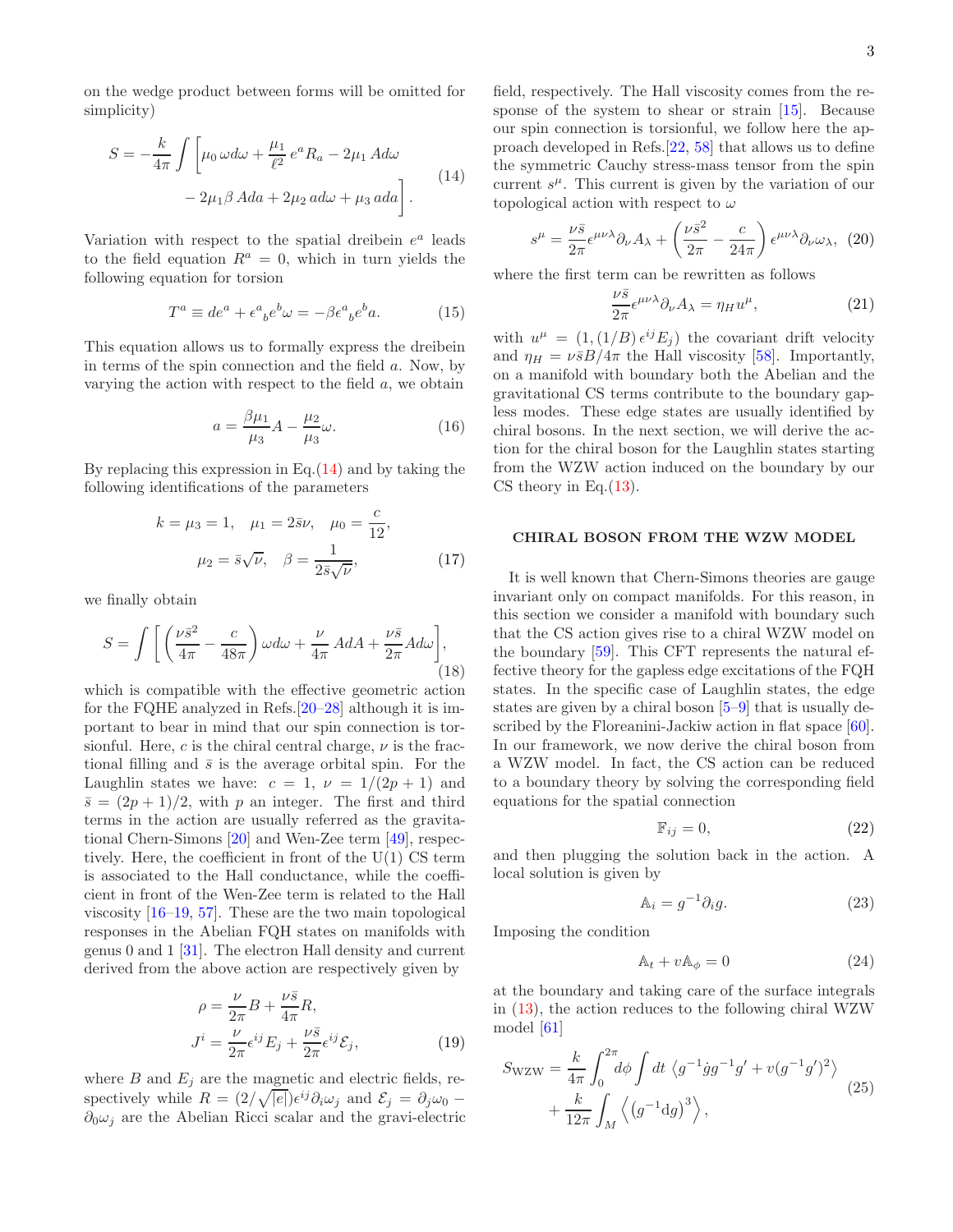on the wedge product between forms will be omitted for simplicity)

<span id="page-2-0"></span>
$$
S = -\frac{k}{4\pi} \int \left[ \mu_0 \,\omega d\omega + \frac{\mu_1}{\ell^2} e^a R_a - 2\mu_1 \, A d\omega \right] - 2\mu_1 \beta \, A da + 2\mu_2 \, ad\omega + \mu_3 \, ada \right].
$$
 (14)

Variation with respect to the spatial dreibein  $e^a$  leads to the field equation  $R^a = 0$ , which in turn yields the following equation for torsion

$$
T^a \equiv de^a + \epsilon^a{}_b e^b \omega = -\beta \epsilon^a{}_b e^b a. \tag{15}
$$

This equation allows us to formally express the dreibein in terms of the spin connection and the field a. Now, by varying the action with respect to the field  $a$ , we obtain

$$
a = \frac{\beta \mu_1}{\mu_3} A - \frac{\mu_2}{\mu_3} \omega.
$$
 (16)

By replacing this expression in Eq. $(14)$  and by taking the following identifications of the parameters

$$
k = \mu_3 = 1, \quad \mu_1 = 2\bar{s}\nu, \quad \mu_0 = \frac{c}{12},
$$
  
 $\mu_2 = \bar{s}\sqrt{\nu}, \quad \beta = \frac{1}{2\bar{s}\sqrt{\nu}},$  (17)

we finally obtain

$$
S = \int \left[ \left( \frac{\nu \bar{s}^2}{4\pi} - \frac{c}{48\pi} \right) \omega d\omega + \frac{\nu}{4\pi} A dA + \frac{\nu \bar{s}}{2\pi} A d\omega \right],
$$
\n(18)

which is compatible with the effective geometric action for the FQHE analyzed in Refs.[\[20](#page-5-10)[–28\]](#page-5-29) although it is important to bear in mind that our spin connection is torsionful. Here, c is the chiral central charge,  $\nu$  is the fractional filling and  $\bar{s}$  is the average orbital spin. For the Laughlin states we have:  $c = 1$ ,  $\nu = 1/(2p + 1)$  and  $\bar{s} = (2p + 1)/2$ , with p an integer. The first and third terms in the action are usually referred as the gravitational Chern-Simons [\[20\]](#page-5-10) and Wen-Zee term [\[49](#page-5-20)], respectively. Here, the coefficient in front of the U(1) CS term is associated to the Hall conductance, while the coefficient in front of the Wen-Zee term is related to the Hall viscosity [\[16](#page-5-30)[–19,](#page-5-9) [57](#page-5-31)]. These are the two main topological responses in the Abelian FQH states on manifolds with genus 0 and 1 [\[31\]](#page-5-32). The electron Hall density and current derived from the above action are respectively given by

$$
\rho = \frac{\nu}{2\pi} B + \frac{\nu \bar{s}}{4\pi} R,
$$
  
\n
$$
J^{i} = \frac{\nu}{2\pi} \epsilon^{ij} E_{j} + \frac{\nu \bar{s}}{2\pi} \epsilon^{ij} \mathcal{E}_{j},
$$
\n(19)

where  $B$  and  $E_i$  are the magnetic and electric fields, respectively while  $R = (2/\sqrt{|e|})\epsilon^{ij}\partial_i\omega_j$  and  $\mathcal{E}_j = \partial_j\omega_0$  –  $\partial_0 \omega_i$  are the Abelian Ricci scalar and the gravi-electric field, respectively. The Hall viscosity comes from the response of the system to shear or strain [\[15](#page-5-8)]. Because our spin connection is torsionful, we follow here the approach developed in Refs.[\[22,](#page-5-33) [58](#page-5-34)] that allows us to define the symmetric Cauchy stress-mass tensor from the spin current  $s^{\mu}$ . This current is given by the variation of our topological action with respect to  $\omega$ 

$$
s^{\mu} = \frac{\nu \bar{s}}{2\pi} \epsilon^{\mu\nu\lambda} \partial_{\nu} A_{\lambda} + \left(\frac{\nu \bar{s}^2}{2\pi} - \frac{c}{24\pi}\right) \epsilon^{\mu\nu\lambda} \partial_{\nu} \omega_{\lambda}, \tag{20}
$$

where the first term can be rewritten as follows

$$
\frac{\nu \bar{s}}{2\pi} \epsilon^{\mu\nu\lambda} \partial_{\nu} A_{\lambda} = \eta_{H} u^{\mu}, \qquad (21)
$$

with  $u^{\mu} = (1,(1/B)\epsilon^{ij}E_j)$  the covariant drift velocity and  $\eta_H = \nu \bar{s} B/4\pi$  the Hall viscosity [\[58\]](#page-5-34). Importantly, on a manifold with boundary both the Abelian and the gravitational CS terms contribute to the boundary gapless modes. These edge states are usually identified by chiral bosons. In the next section, we will derive the action for the chiral boson for the Laughlin states starting from the WZW action induced on the boundary by our CS theory in Eq. $(13)$ .

#### CHIRAL BOSON FROM THE WZW MODEL

It is well known that Chern-Simons theories are gauge invariant only on compact manifolds. For this reason, in this section we consider a manifold with boundary such that the CS action gives rise to a chiral WZW model on the boundary [\[59\]](#page-5-35). This CFT represents the natural effective theory for the gapless edge excitations of the FQH states. In the specific case of Laughlin states, the edge states are given by a chiral boson [\[5](#page-5-1)[–9\]](#page-5-2) that is usually described by the Floreanini-Jackiw action in flat space [\[60\]](#page-5-36). In our framework, we now derive the chiral boson from a WZW model. In fact, the CS action can be reduced to a boundary theory by solving the corresponding field equations for the spatial connection

$$
\mathbb{F}_{ij} = 0,\tag{22}
$$

and then plugging the solution back in the action. A local solution is given by

$$
\mathbb{A}_i = g^{-1} \partial_i g. \tag{23}
$$

Imposing the condition

$$
\mathbb{A}_t + v\mathbb{A}_\phi = 0 \tag{24}
$$

at the boundary and taking care of the surface integrals in [\(13\)](#page-1-4), the action reduces to the following chiral WZW model [\[61\]](#page-5-37)

$$
S_{\rm WZW} = \frac{k}{4\pi} \int_0^{2\pi} d\phi \int dt \langle g^{-1} \dot{g} g^{-1} g' + v (g^{-1} g')^2 \rangle + \frac{k}{12\pi} \int_M \langle (g^{-1} dg)^3 \rangle,
$$
 (25)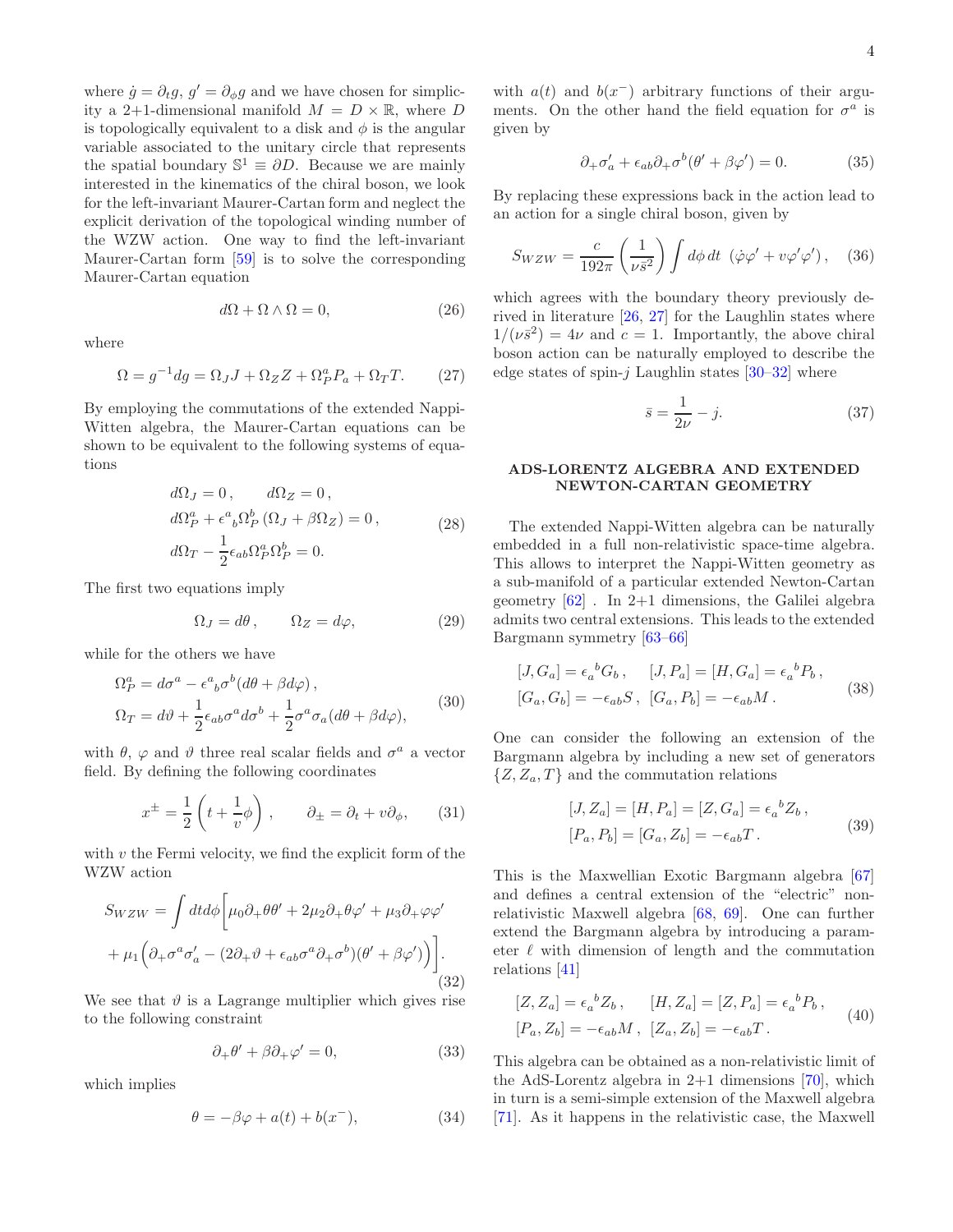where  $\dot{g} = \partial_t g$ ,  $g' = \partial_\phi g$  and we have chosen for simplicity a 2+1-dimensional manifold  $M = D \times \mathbb{R}$ , where D is topologically equivalent to a disk and  $\phi$  is the angular variable associated to the unitary circle that represents the spatial boundary  $\mathbb{S}^1 \equiv \partial D$ . Because we are mainly interested in the kinematics of the chiral boson, we look for the left-invariant Maurer-Cartan form and neglect the explicit derivation of the topological winding number of the WZW action. One way to find the left-invariant Maurer-Cartan form [\[59\]](#page-5-35) is to solve the corresponding Maurer-Cartan equation

$$
d\Omega + \Omega \wedge \Omega = 0,\t(26)
$$

where

$$
\Omega = g^{-1} dg = \Omega_J J + \Omega_Z Z + \Omega_P^a P_a + \Omega_T T.
$$
 (27)

By employing the commutations of the extended Nappi-Witten algebra, the Maurer-Cartan equations can be shown to be equivalent to the following systems of equations

$$
d\Omega_J = 0, \qquad d\Omega_Z = 0,
$$
  
\n
$$
d\Omega_P^a + \epsilon^a{}_b \Omega_P^b (\Omega_J + \beta \Omega_Z) = 0,
$$
  
\n
$$
d\Omega_T - \frac{1}{2} \epsilon_{ab} \Omega_P^a \Omega_P^b = 0.
$$
\n(28)

The first two equations imply

$$
\Omega_J = d\theta, \qquad \Omega_Z = d\varphi, \tag{29}
$$

while for the others we have

$$
\Omega_P^a = d\sigma^a - \epsilon^a{}_b \sigma^b (d\theta + \beta d\varphi),
$$
  
\n
$$
\Omega_T = d\vartheta + \frac{1}{2} \epsilon_{ab} \sigma^a d\sigma^b + \frac{1}{2} \sigma^a \sigma_a (d\theta + \beta d\varphi),
$$
\n(30)

with  $\theta$ ,  $\varphi$  and  $\vartheta$  three real scalar fields and  $\sigma^a$  a vector field. By defining the following coordinates

$$
x^{\pm} = \frac{1}{2} \left( t + \frac{1}{v} \phi \right) , \qquad \partial_{\pm} = \partial_t + v \partial_{\phi}, \qquad (31)
$$

with  $v$  the Fermi velocity, we find the explicit form of the WZW action

$$
Sw_{ZW} = \int dt d\phi \left[ \mu_0 \partial_+ \theta \theta' + 2\mu_2 \partial_+ \theta \varphi' + \mu_3 \partial_+ \varphi \varphi' \right. \\ + \left. \mu_1 \Big( \partial_+ \sigma^a \sigma'_a - (2\partial_+ \vartheta + \epsilon_{ab} \sigma^a \partial_+ \sigma^b) (\theta' + \beta \varphi') \Big) \right]. \tag{32}
$$

We see that  $\vartheta$  is a Lagrange multiplier which gives rise to the following constraint

$$
\partial_+\theta' + \beta \partial_+\varphi' = 0,\tag{33}
$$

which implies

$$
\theta = -\beta \varphi + a(t) + b(x^-),\tag{34}
$$

with  $a(t)$  and  $b(x^{-})$  arbitrary functions of their arguments. On the other hand the field equation for  $\sigma^a$  is given by

$$
\partial_{+}\sigma'_{a} + \epsilon_{ab}\partial_{+}\sigma^{b}(\theta' + \beta\varphi') = 0.
$$
 (35)

By replacing these expressions back in the action lead to an action for a single chiral boson, given by

$$
S_{WZW} = \frac{c}{192\pi} \left(\frac{1}{\nu \bar{s}^2}\right) \int d\phi \, dt \, (\dot{\varphi}\varphi' + v\varphi'\varphi'), \quad (36)
$$

which agrees with the boundary theory previously derived in literature [\[26,](#page-5-38) [27\]](#page-5-39) for the Laughlin states where  $1/(\nu \bar{s}^2) = 4\nu$  and  $c = 1$ . Importantly, the above chiral boson action can be naturally employed to describe the edge states of spin- $j$  Laughlin states [\[30](#page-5-40)[–32](#page-5-41)] where

$$
\bar{s} = \frac{1}{2\nu} - j.
$$
\n(37)

## ADS-LORENTZ ALGEBRA AND EXTENDED NEWTON-CARTAN GEOMETRY

The extended Nappi-Witten algebra can be naturally embedded in a full non-relativistic space-time algebra. This allows to interpret the Nappi-Witten geometry as a sub-manifold of a particular extended Newton-Cartan geometry [\[62](#page-5-42)] . In 2+1 dimensions, the Galilei algebra admits two central extensions. This leads to the extended Bargmann symmetry [\[63](#page-5-43)[–66\]](#page-5-44)

<span id="page-3-0"></span>
$$
[J, G_a] = \epsilon_a{}^b G_b, \qquad [J, P_a] = [H, G_a] = \epsilon_a{}^b P_b,
$$
  

$$
[G_a, G_b] = -\epsilon_{ab} S, \quad [G_a, P_b] = -\epsilon_{ab} M.
$$
 (38)

One can consider the following an extension of the Bargmann algebra by including a new set of generators  $\{Z, Z_a, T\}$  and the commutation relations

$$
[J, Z_a] = [H, P_a] = [Z, G_a] = \epsilon_a{}^b Z_b ,
$$
  

$$
[P_a, P_b] = [G_a, Z_b] = -\epsilon_{ab}T .
$$
 (39)

This is the Maxwellian Exotic Bargmann algebra [\[67](#page-6-0)] and defines a central extension of the "electric" nonrelativistic Maxwell algebra [\[68,](#page-6-1) [69](#page-6-2)]. One can further extend the Bargmann algebra by introducing a parameter  $\ell$  with dimension of length and the commutation relations [\[41](#page-5-15)]

<span id="page-3-1"></span>
$$
[Z, Z_a] = \epsilon_a{}^b Z_b, \qquad [H, Z_a] = [Z, P_a] = \epsilon_a{}^b P_b, [P_a, Z_b] = -\epsilon_{ab} M, \quad [Z_a, Z_b] = -\epsilon_{ab} T.
$$
 (40)

This algebra can be obtained as a non-relativistic limit of the AdS-Lorentz algebra in  $2+1$  dimensions [\[70](#page-6-3)], which in turn is a semi-simple extension of the Maxwell algebra [\[71\]](#page-6-4). As it happens in the relativistic case, the Maxwell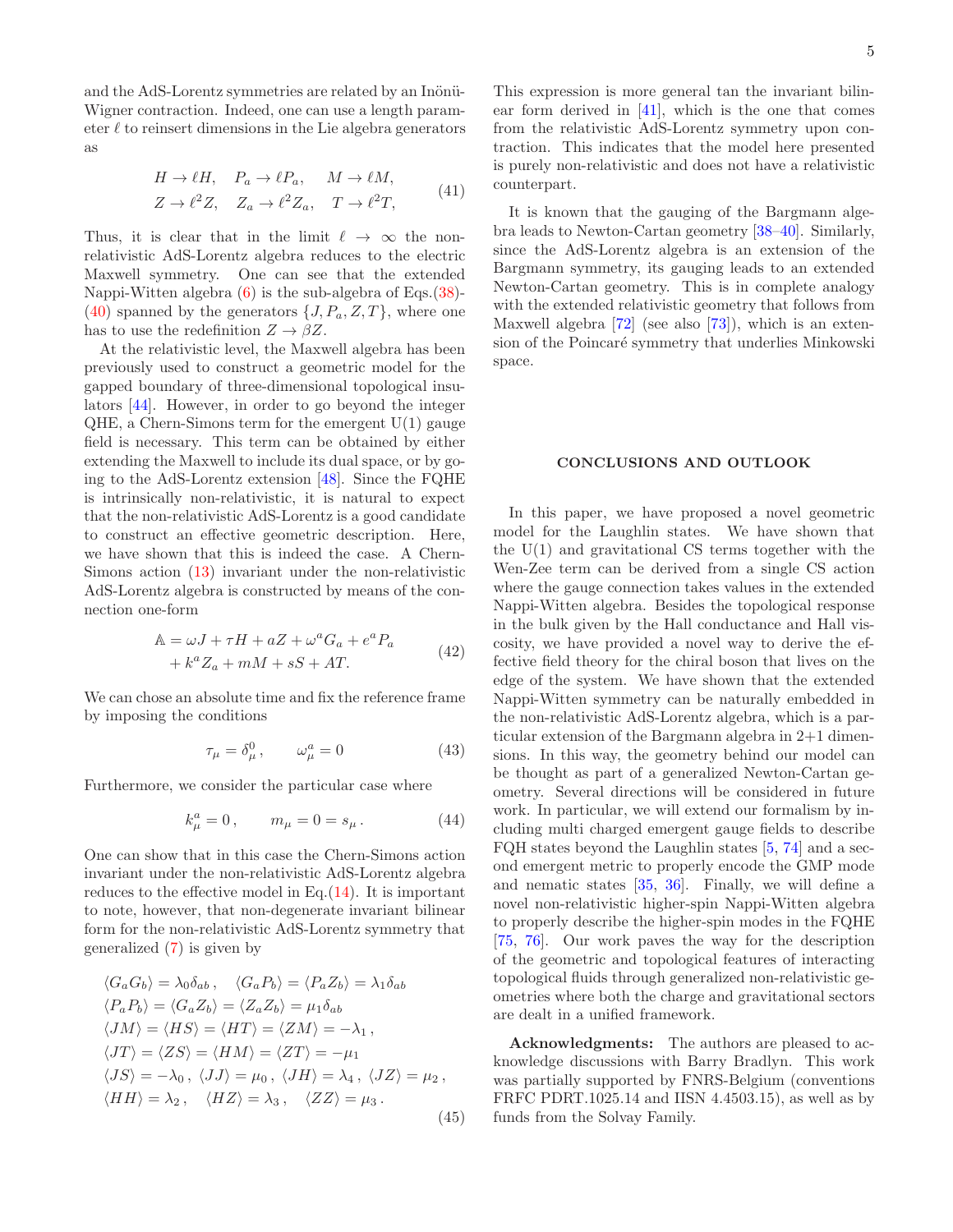and the AdS-Lorentz symmetries are related by an Inönü-Wigner contraction. Indeed, one can use a length parameter  $\ell$  to reinsert dimensions in the Lie algebra generators as

$$
H \to \ell H, \quad P_a \to \ell P_a, \quad M \to \ell M,
$$
  

$$
Z \to \ell^2 Z, \quad Z_a \to \ell^2 Z_a, \quad T \to \ell^2 T,
$$
 (41)

Thus, it is clear that in the limit  $\ell \to \infty$  the nonrelativistic AdS-Lorentz algebra reduces to the electric Maxwell symmetry. One can see that the extended Nappi-Witten algebra [\(6\)](#page-1-5) is the sub-algebra of Eqs.[\(38\)](#page-3-0)- [\(40\)](#page-3-1) spanned by the generators  $\{J, P_a, Z, T\}$ , where one has to use the redefinition  $Z \to \beta Z$ .

At the relativistic level, the Maxwell algebra has been previously used to construct a geometric model for the gapped boundary of three-dimensional topological insulators [\[44](#page-5-18)]. However, in order to go beyond the integer  $QHE$ , a Chern-Simons term for the emergent  $U(1)$  gauge field is necessary. This term can be obtained by either extending the Maxwell to include its dual space, or by going to the AdS-Lorentz extension [\[48](#page-5-19)]. Since the FQHE is intrinsically non-relativistic, it is natural to expect that the non-relativistic AdS-Lorentz is a good candidate to construct an effective geometric description. Here, we have shown that this is indeed the case. A Chern-Simons action [\(13\)](#page-1-4) invariant under the non-relativistic AdS-Lorentz algebra is constructed by means of the connection one-form

$$
\mathbb{A} = \omega J + \tau H + aZ + \omega^a G_a + e^a P_a
$$
  
+ 
$$
k^a Z_a + mM + sS + AT.
$$
 (42)

We can chose an absolute time and fix the reference frame by imposing the conditions

$$
\tau_{\mu} = \delta_{\mu}^{0}, \qquad \omega_{\mu}^{a} = 0 \tag{43}
$$

Furthermore, we consider the particular case where

$$
k^a_\mu = 0 \,, \qquad m_\mu = 0 = s_\mu \,. \tag{44}
$$

One can show that in this case the Chern-Simons action invariant under the non-relativistic AdS-Lorentz algebra reduces to the effective model in Eq.[\(14\)](#page-2-0). It is important to note, however, that non-degenerate invariant bilinear form for the non-relativistic AdS-Lorentz symmetry that generalized [\(7\)](#page-1-3) is given by

$$
\langle G_a G_b \rangle = \lambda_0 \delta_{ab}, \quad \langle G_a P_b \rangle = \langle P_a Z_b \rangle = \lambda_1 \delta_{ab}
$$
  
\n
$$
\langle P_a P_b \rangle = \langle G_a Z_b \rangle = \langle Z_a Z_b \rangle = \mu_1 \delta_{ab}
$$
  
\n
$$
\langle JM \rangle = \langle HS \rangle = \langle HT \rangle = \langle ZM \rangle = -\lambda_1,
$$
  
\n
$$
\langle JT \rangle = \langle ZS \rangle = \langle HM \rangle = \langle ZT \rangle = -\mu_1
$$
  
\n
$$
\langle JS \rangle = -\lambda_0, \langle JJ \rangle = \mu_0, \langle JH \rangle = \lambda_4, \langle JZ \rangle = \mu_2,
$$
  
\n
$$
\langle HH \rangle = \lambda_2, \quad \langle HZ \rangle = \lambda_3, \quad \langle ZZ \rangle = \mu_3.
$$
\n(45)

This expression is more general tan the invariant bilinear form derived in [\[41\]](#page-5-15), which is the one that comes from the relativistic AdS-Lorentz symmetry upon contraction. This indicates that the model here presented is purely non-relativistic and does not have a relativistic counterpart.

It is known that the gauging of the Bargmann algebra leads to Newton-Cartan geometry [\[38](#page-5-13)[–40](#page-5-14)]. Similarly, since the AdS-Lorentz algebra is an extension of the Bargmann symmetry, its gauging leads to an extended Newton-Cartan geometry. This is in complete analogy with the extended relativistic geometry that follows from Maxwell algebra [\[72\]](#page-6-5) (see also [\[73\]](#page-6-6)), which is an extension of the Poincaré symmetry that underlies Minkowski space.

### CONCLUSIONS AND OUTLOOK

In this paper, we have proposed a novel geometric model for the Laughlin states. We have shown that the U(1) and gravitational CS terms together with the Wen-Zee term can be derived from a single CS action where the gauge connection takes values in the extended Nappi-Witten algebra. Besides the topological response in the bulk given by the Hall conductance and Hall viscosity, we have provided a novel way to derive the effective field theory for the chiral boson that lives on the edge of the system. We have shown that the extended Nappi-Witten symmetry can be naturally embedded in the non-relativistic AdS-Lorentz algebra, which is a particular extension of the Bargmann algebra in 2+1 dimensions. In this way, the geometry behind our model can be thought as part of a generalized Newton-Cartan geometry. Several directions will be considered in future work. In particular, we will extend our formalism by including multi charged emergent gauge fields to describe FQH states beyond the Laughlin states [\[5,](#page-5-1) [74](#page-6-7)] and a second emergent metric to properly encode the GMP mode and nematic states [\[35,](#page-5-45) [36\]](#page-5-46). Finally, we will define a novel non-relativistic higher-spin Nappi-Witten algebra to properly describe the higher-spin modes in the FQHE [\[75,](#page-6-8) [76\]](#page-6-9). Our work paves the way for the description of the geometric and topological features of interacting topological fluids through generalized non-relativistic geometries where both the charge and gravitational sectors are dealt in a unified framework.

Acknowledgments: The authors are pleased to acknowledge discussions with Barry Bradlyn. This work was partially supported by FNRS-Belgium (conventions FRFC PDRT.1025.14 and IISN 4.4503.15), as well as by funds from the Solvay Family.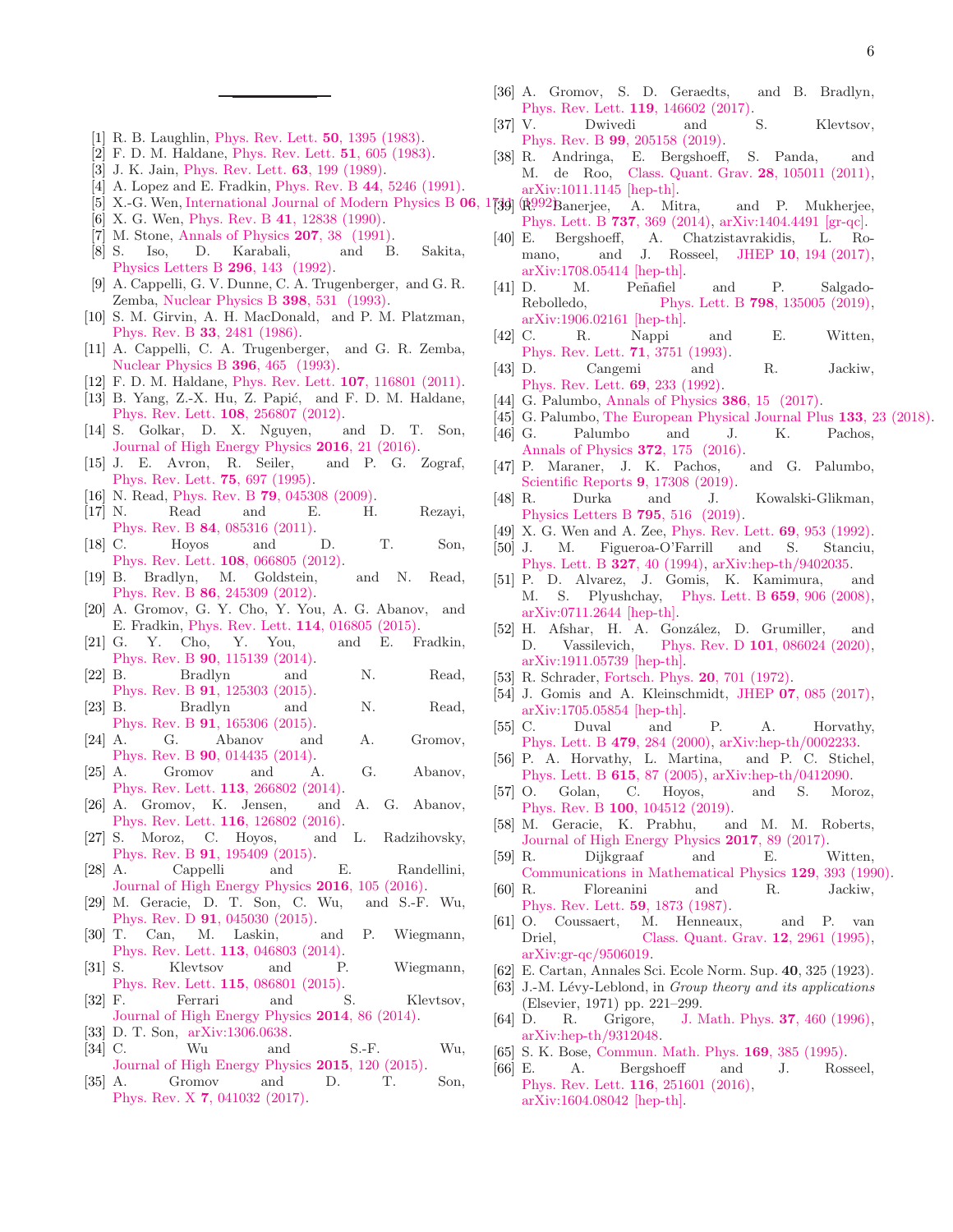- <span id="page-5-0"></span>[1] R. B. Laughlin, [Phys. Rev. Lett.](http://dx.doi.org/10.1103/PhysRevLett.50.1395) 50, 1395 (1983).
- [2] F. D. M. Haldane, [Phys. Rev. Lett.](http://dx.doi.org/10.1103/PhysRevLett.51.605) 51, 605 (1983).
- [3] J. K. Jain, [Phys. Rev. Lett.](http://dx.doi.org/10.1103/PhysRevLett.63.199) **63**, 199 (1989).
- [4] A. Lopez and E. Fradkin, Phys. Rev. B 44[, 5246 \(1991\).](http://dx.doi.org/10.1103/PhysRevB.44.5246)
- <span id="page-5-1"></span>[5] X.-G. Wen, [International Journal of Modern Physics B](http://dx.doi.org/10.1142/S0217979292000840)  $06$ , 17 $39$ ]
- [6] X. G. Wen, Phys. Rev. B 41[, 12838 \(1990\).](http://dx.doi.org/10.1103/PhysRevB.41.12838)
- [7] M. Stone, [Annals of Physics](http://dx.doi.org/https://doi.org/10.1016/0003-4916(91)90177-A) 207, 38 (1991).
- <span id="page-5-3"></span>[8] S. Iso, D. Karabali, and B. Sakita, [Physics Letters B](http://dx.doi.org/https://doi.org/10.1016/0370-2693(92)90816-M) 296, 143 (1992).
- <span id="page-5-2"></span>[9] A. Cappelli, G. V. Dunne, C. A. Trugenberger, and G. R. Zemba, [Nuclear Physics B](http://dx.doi.org/https://doi.org/10.1016/0550-3213(93)90603-M) 398, 531 (1993).
- <span id="page-5-4"></span>[10] S. M. Girvin, A. H. MacDonald, and P. M. Platzman, Phys. Rev. B 33[, 2481 \(1986\).](http://dx.doi.org/10.1103/PhysRevB.33.2481)
- <span id="page-5-5"></span>[11] A. Cappelli, C. A. Trugenberger, and G. R. Zemba, [Nuclear Physics B](http://dx.doi.org/ https://doi.org/10.1016/0550-3213(93)90660-H) 396, 465 (1993).
- <span id="page-5-6"></span>[12] F. D. M. Haldane, [Phys. Rev. Lett.](http://dx.doi.org/10.1103/PhysRevLett.107.116801) 107, 116801 (2011).
- [13] B. Yang, Z.-X. Hu, Z. Papić, and F. D. M. Haldane, [Phys. Rev. Lett.](http://dx.doi.org/ 10.1103/PhysRevLett.108.256807) 108, 256807 (2012).
- <span id="page-5-7"></span>[14] S. Golkar, D. X. Nguyen, and D. T. Son, [Journal of High Energy Physics](http://dx.doi.org/10.1007/JHEP01(2016)021) 2016, 21 (2016).
- <span id="page-5-8"></span>[15] J. E. Avron, R. Seiler, and P. G. Zograf, [Phys. Rev. Lett.](http://dx.doi.org/10.1103/PhysRevLett.75.697) 75, 697 (1995).
- <span id="page-5-30"></span>[16] N. Read, Phys. Rev. B **79**[, 045308 \(2009\).](http://dx.doi.org/10.1103/PhysRevB.79.045308)
- [17] N. Read and E. H. Rezayi, Phys. Rev. B 84[, 085316 \(2011\).](http://dx.doi.org/10.1103/PhysRevB.84.085316)
- [18] C. Hoyos and D. T. Son, [Phys. Rev. Lett.](http://dx.doi.org/10.1103/PhysRevLett.108.066805) 108, 066805 (2012).
- <span id="page-5-9"></span>[19] B. Bradlyn, M. Goldstein, and N. Read, Phys. Rev. B 86[, 245309 \(2012\).](http://dx.doi.org/10.1103/PhysRevB.86.245309)
- <span id="page-5-10"></span>[20] A. Gromov, G. Y. Cho, Y. You, A. G. Abanov, and E. Fradkin, [Phys. Rev. Lett.](http://dx.doi.org/ 10.1103/PhysRevLett.114.016805) 114, 016805 (2015).
- [21] G. Y. Cho, Y. You, and E. Fradkin, Phys. Rev. B 90[, 115139 \(2014\).](http://dx.doi.org/10.1103/PhysRevB.90.115139)
- <span id="page-5-33"></span>[22] B. Bradlyn and N. Read, Phys. Rev. B 91[, 125303 \(2015\).](http://dx.doi.org/10.1103/PhysRevB.91.125303)
- [23] B. Bradlyn and N. Read, Phys. Rev. B 91[, 165306 \(2015\).](http://dx.doi.org/10.1103/PhysRevB.91.165306)
- [24] A. G. Abanov and A. Gromov, Phys. Rev. B 90[, 014435 \(2014\).](http://dx.doi.org/10.1103/PhysRevB.90.014435)
- [25] A. Gromov and A. G. Abanov, [Phys. Rev. Lett.](http://dx.doi.org/10.1103/PhysRevLett.113.266802) 113, 266802 (2014).
- <span id="page-5-38"></span>[26] A. Gromov, K. Jensen, and A. G. Abanov, [Phys. Rev. Lett.](http://dx.doi.org/10.1103/PhysRevLett.116.126802) 116, 126802 (2016).
- <span id="page-5-39"></span>[27] S. Moroz, C. Hoyos, and L. Radzihovsky, Phys. Rev. B 91[, 195409 \(2015\).](http://dx.doi.org/10.1103/PhysRevB.91.195409)
- <span id="page-5-29"></span>[28] A. Cappelli and E. Randellini, [Journal of High Energy Physics](http://dx.doi.org/10.1007/JHEP03(2016)105) 2016, 105 (2016).
- [29] M. Geracie, D. T. Son, C. Wu, and S.-F. Wu, Phys. Rev. D 91[, 045030 \(2015\).](http://dx.doi.org/ 10.1103/PhysRevD.91.045030)
- <span id="page-5-40"></span>[30] T. Can, M. Laskin, and P. Wiegmann, [Phys. Rev. Lett.](http://dx.doi.org/10.1103/PhysRevLett.113.046803) 113, 046803 (2014).
- <span id="page-5-32"></span>[31] S. Klevtsov and P. Wiegmann, [Phys. Rev. Lett.](http://dx.doi.org/10.1103/PhysRevLett.115.086801) 115, 086801 (2015).
- <span id="page-5-41"></span>[32] F. Ferrari and S. Klevtsov, [Journal of High Energy Physics](http://dx.doi.org/10.1007/JHEP12(2014)086) 2014, 86 (2014).
- <span id="page-5-12"></span>[33] D. T. Son, [arXiv:1306.0638.](http://arxiv.org/abs/1306.0638)
- [34] C. Wu and S.-F. Wu, [Journal of High Energy Physics](http://dx.doi.org/10.1007/JHEP01(2015)120) 2015, 120 (2015).
- <span id="page-5-45"></span>[35] A. Gromov and D. T. Son, Phys. Rev. X 7[, 041032 \(2017\).](http://dx.doi.org/10.1103/PhysRevX.7.041032)
- <span id="page-5-46"></span>[36] A. Gromov, S. D. Geraedts, and B. Bradlyn, [Phys. Rev. Lett.](http://dx.doi.org/10.1103/PhysRevLett.119.146602) 119, 146602 (2017).
- <span id="page-5-11"></span>[37] V. Dwivedi and S. Klevtsov, Phys. Rev. B 99[, 205158 \(2019\).](http://dx.doi.org/10.1103/PhysRevB.99.205158)
- <span id="page-5-13"></span>[38] R. Andringa, E. Bergshoeff, S. Panda, and M. de Roo, [Class. Quant. Grav.](http://dx.doi.org/10.1088/0264-9381/28/10/105011) 28, 105011 (2011), [arXiv:1011.1145 \[hep-th\].](http://arxiv.org/abs/1011.1145)
- $(\mathbb{R}992)$ Banerjee, A. Mitra, and P. Mukherjee, [Phys. Lett. B](http://dx.doi.org/10.1016/j.physletb.2014.09.004) 737, 369 (2014), [arXiv:1404.4491 \[gr-qc\].](http://arxiv.org/abs/1404.4491)
- <span id="page-5-14"></span>[40] E. Bergshoeff, A. Chatzistavrakidis, L. Ro-mano, and J. Rosseel, JHEP 10[, 194 \(2017\),](http://dx.doi.org/10.1007/JHEP10(2017)194) [arXiv:1708.05414 \[hep-th\].](http://arxiv.org/abs/1708.05414)
- <span id="page-5-15"></span>[41] D. M. Peñafiel and P. Salgado-Rebolledo, Phys. Lett. B 798[, 135005 \(2019\),](http://dx.doi.org/10.1016/j.physletb.2019.135005) [arXiv:1906.02161 \[hep-th\].](http://arxiv.org/abs/1906.02161)
- <span id="page-5-16"></span>[42] C. R. Nappi and E. Witten, [Phys. Rev. Lett.](http://dx.doi.org/10.1103/PhysRevLett.71.3751) 71, 3751 (1993).
- <span id="page-5-17"></span>[43] D. Cangemi and R. Jackiw, [Phys. Rev. Lett.](http://dx.doi.org/10.1103/PhysRevLett.69.233) 69, 233 (1992).
- <span id="page-5-18"></span>[44] G. Palumbo, [Annals of Physics](http://dx.doi.org/https://doi.org/10.1016/j.aop.2017.08.018) 386, 15 (2017).
- <span id="page-5-28"></span>[45] G. Palumbo, [The European Physical Journal Plus](http://dx.doi.org/10.1140/epjp/i2018-11856-8) 133, 23 (2018).
- [46] G. Palumbo and J. K. Pachos, [Annals of Physics](http://dx.doi.org/https://doi.org/10.1016/j.aop.2016.05.005) **372**, 175 (2016).
- [47] P. Maraner, J. K. Pachos, and G. Palumbo, [Scientific Reports](http://dx.doi.org/10.1038/s41598-019-53771-5) 9, 17308 (2019).
- <span id="page-5-19"></span>[48] R. Durka and J. Kowalski-Glikman, [Physics Letters B](http://dx.doi.org/ https://doi.org/10.1016/j.physletb.2019.06.058) 795, 516 (2019).
- <span id="page-5-20"></span>[49] X. G. Wen and A. Zee, [Phys. Rev. Lett.](http://dx.doi.org/10.1103/PhysRevLett.69.953) **69**, 953 (1992).<br>[50] J. M. Figueroa-O'Farrill and S. Stanciu.
- <span id="page-5-21"></span>M. Figueroa-O'Farrill and S. Stanciu, [Phys. Lett. B](http://dx.doi.org/10.1016/0370-2693(94)91525-3) 327, 40 (1994), [arXiv:hep-th/9402035.](http://arxiv.org/abs/hep-th/9402035)
- <span id="page-5-22"></span>[51] P. D. Alvarez, J. Gomis, K. Kamimura, and M. S. Plyushchay, [Phys. Lett. B](http://dx.doi.org/10.1016/j.physletb.2007.12.016) 659, 906 (2008), [arXiv:0711.2644 \[hep-th\].](http://arxiv.org/abs/0711.2644)
- <span id="page-5-23"></span>[52] H. Afshar, H. A. González, D. Grumiller, and D. Vassilevich, Phys. Rev. D 101[, 086024 \(2020\),](http://dx.doi.org/10.1103/PhysRevD.101.086024) [arXiv:1911.05739 \[hep-th\].](http://arxiv.org/abs/1911.05739)
- <span id="page-5-24"></span>[53] R. Schrader, [Fortsch. Phys.](http://dx.doi.org/10.1002/prop.19720201202) **20**, 701 (1972).
- <span id="page-5-25"></span>[54] J. Gomis and A. Kleinschmidt, JHEP 07[, 085 \(2017\),](http://dx.doi.org/10.1007/JHEP07(2017)085) [arXiv:1705.05854 \[hep-th\].](http://arxiv.org/abs/1705.05854)
- <span id="page-5-26"></span>[55] C. Duval and P. A. Horvathy, [Phys. Lett. B](http://dx.doi.org/10.1016/S0370-2693(00)00341-5) 479, 284 (2000), [arXiv:hep-th/0002233.](http://arxiv.org/abs/hep-th/0002233)
- <span id="page-5-27"></span>[56] P. A. Horvathy, L. Martina, and P. C. Stichel, [Phys. Lett. B](http://dx.doi.org/10.1016/j.physletb.2005.04.004) 615, 87 (2005), [arXiv:hep-th/0412090.](http://arxiv.org/abs/hep-th/0412090)
- <span id="page-5-31"></span>[57] O. Golan, C. Hoyos, and S. Moroz, Phys. Rev. B 100[, 104512 \(2019\).](http://dx.doi.org/10.1103/PhysRevB.100.104512)
- <span id="page-5-34"></span>[58] M. Geracie, K. Prabhu, and M. M. Roberts, [Journal of High Energy Physics](http://dx.doi.org/https://doi.org/10.1007/JHEP06(2017)089) 2017, 89 (2017).
- <span id="page-5-35"></span>[59] R. Dijkgraaf and E. Witten, [Communications in Mathematical Physics](http://dx.doi.org/https://doi.org/10.1007/BF02096988) 129, 393 (1990).
- <span id="page-5-36"></span>[60] R. Floreanini and R. Jackiw, [Phys. Rev. Lett.](http://dx.doi.org/10.1103/PhysRevLett.59.1873) 59, 1873 (1987).
- <span id="page-5-37"></span>[61] O. Coussaert, M. Henneaux, and P. van Driel, [Class. Quant. Grav.](http://dx.doi.org/10.1088/0264-9381/12/12/012) **12**, 2961 (1995), [arXiv:gr-qc/9506019.](http://arxiv.org/abs/gr-qc/9506019)
- <span id="page-5-42"></span>[62] E. Cartan, Annales Sci. Ecole Norm. Sup. 40, 325 (1923).
- <span id="page-5-43"></span>[63] J.-M. Lévy-Leblond, in Group theory and its applications (Elsevier, 1971) pp. 221–299.
- [64] D. R. Grigore, [J. Math. Phys.](http://dx.doi.org/10.1063/1.531402) **37**, 460 (1996), [arXiv:hep-th/9312048.](http://arxiv.org/abs/hep-th/9312048)
- [65] S. K. Bose, [Commun. Math. Phys.](http://dx.doi.org/10.1007/BF02099478) **169**, 385 (1995).
- <span id="page-5-44"></span>[66] E. A. Bergshoeff and J. Rosseel, [Phys. Rev. Lett.](http://dx.doi.org/10.1103/PhysRevLett.116.251601) 116, 251601 (2016), [arXiv:1604.08042 \[hep-th\].](http://arxiv.org/abs/1604.08042)